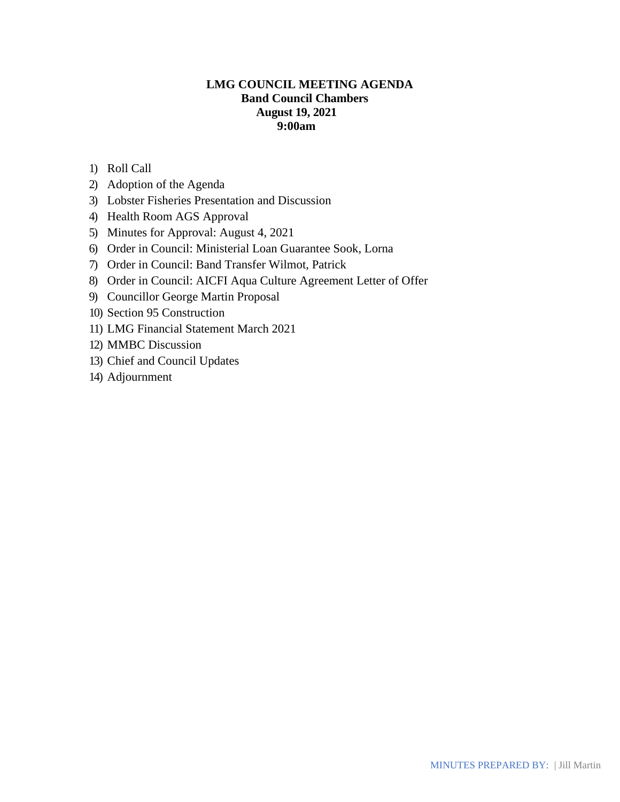# **LMG COUNCIL MEETING AGENDA Band Council Chambers August 19, 2021 9:00am**

- 1) Roll Call
- 2) Adoption of the Agenda
- 3) Lobster Fisheries Presentation and Discussion
- 4) Health Room AGS Approval
- 5) Minutes for Approval: August 4, 2021
- 6) Order in Council: Ministerial Loan Guarantee Sook, Lorna
- 7) Order in Council: Band Transfer Wilmot, Patrick
- 8) Order in Council: AICFI Aqua Culture Agreement Letter of Offer
- 9) Councillor George Martin Proposal
- 10) Section 95 Construction
- 11) LMG Financial Statement March 2021
- 12) MMBC Discussion
- 13) Chief and Council Updates
- 14) Adjournment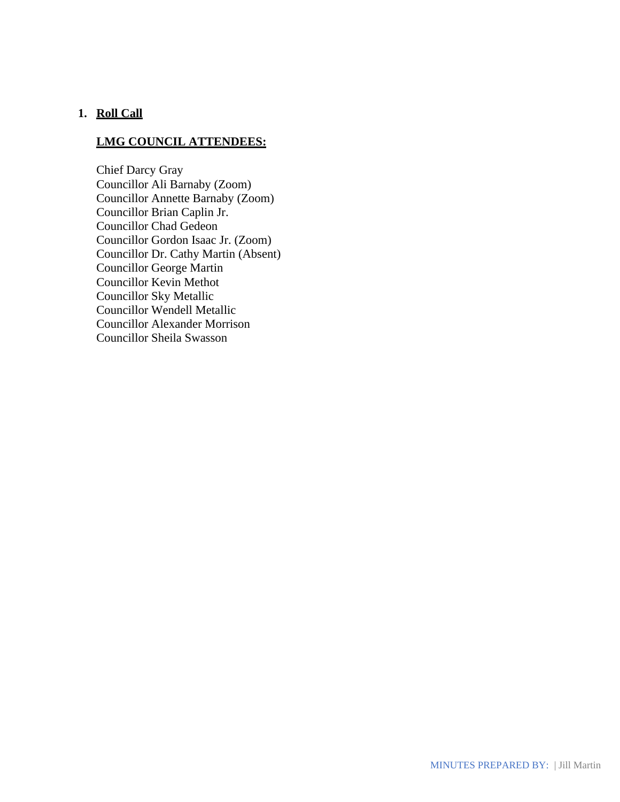# **1. Roll Call**

#### **LMG COUNCIL ATTENDEES:**

Chief Darcy Gray Councillor Ali Barnaby (Zoom) Councillor Annette Barnaby (Zoom) Councillor Brian Caplin Jr. Councillor Chad Gedeon Councillor Gordon Isaac Jr. (Zoom) Councillor Dr. Cathy Martin (Absent) Councillor George Martin Councillor Kevin Methot Councillor Sky Metallic Councillor Wendell Metallic Councillor Alexander Morrison Councillor Sheila Swasson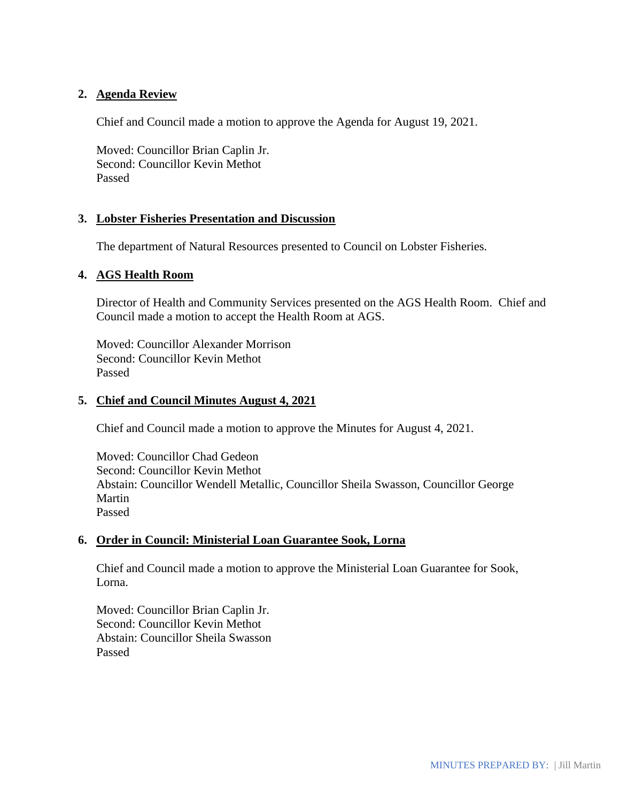## **2. Agenda Review**

Chief and Council made a motion to approve the Agenda for August 19, 2021.

Moved: Councillor Brian Caplin Jr. Second: Councillor Kevin Methot Passed

#### **3. Lobster Fisheries Presentation and Discussion**

The department of Natural Resources presented to Council on Lobster Fisheries.

#### **4. AGS Health Room**

Director of Health and Community Services presented on the AGS Health Room. Chief and Council made a motion to accept the Health Room at AGS.

Moved: Councillor Alexander Morrison Second: Councillor Kevin Methot Passed

### **5. Chief and Council Minutes August 4, 2021**

Chief and Council made a motion to approve the Minutes for August 4, 2021.

Moved: Councillor Chad Gedeon Second: Councillor Kevin Methot Abstain: Councillor Wendell Metallic, Councillor Sheila Swasson, Councillor George Martin Passed

### **6. Order in Council: Ministerial Loan Guarantee Sook, Lorna**

Chief and Council made a motion to approve the Ministerial Loan Guarantee for Sook, Lorna.

Moved: Councillor Brian Caplin Jr. Second: Councillor Kevin Methot Abstain: Councillor Sheila Swasson Passed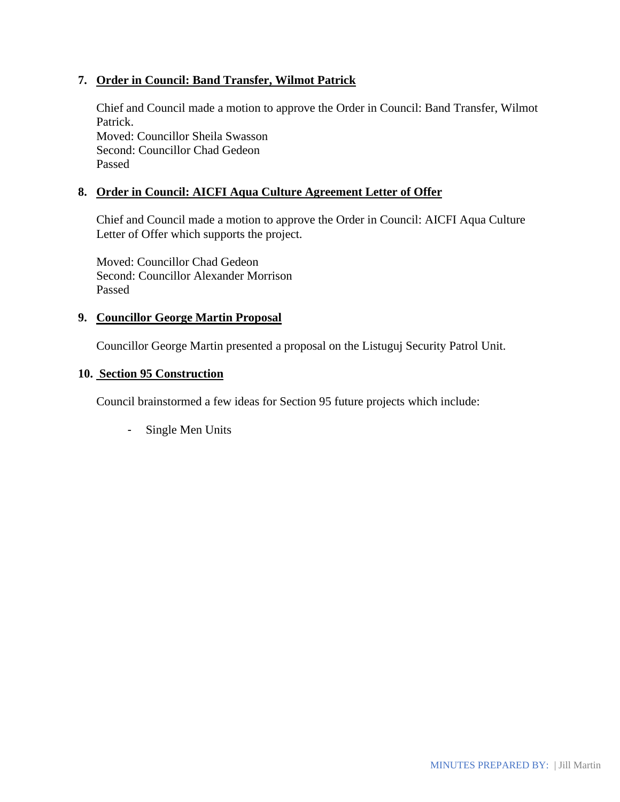## **7. Order in Council: Band Transfer, Wilmot Patrick**

Chief and Council made a motion to approve the Order in Council: Band Transfer, Wilmot Patrick. Moved: Councillor Sheila Swasson Second: Councillor Chad Gedeon Passed

# **8. Order in Council: AICFI Aqua Culture Agreement Letter of Offer**

Chief and Council made a motion to approve the Order in Council: AICFI Aqua Culture Letter of Offer which supports the project.

Moved: Councillor Chad Gedeon Second: Councillor Alexander Morrison Passed

#### **9. Councillor George Martin Proposal**

Councillor George Martin presented a proposal on the Listuguj Security Patrol Unit.

### **10. Section 95 Construction**

Council brainstormed a few ideas for Section 95 future projects which include:

- Single Men Units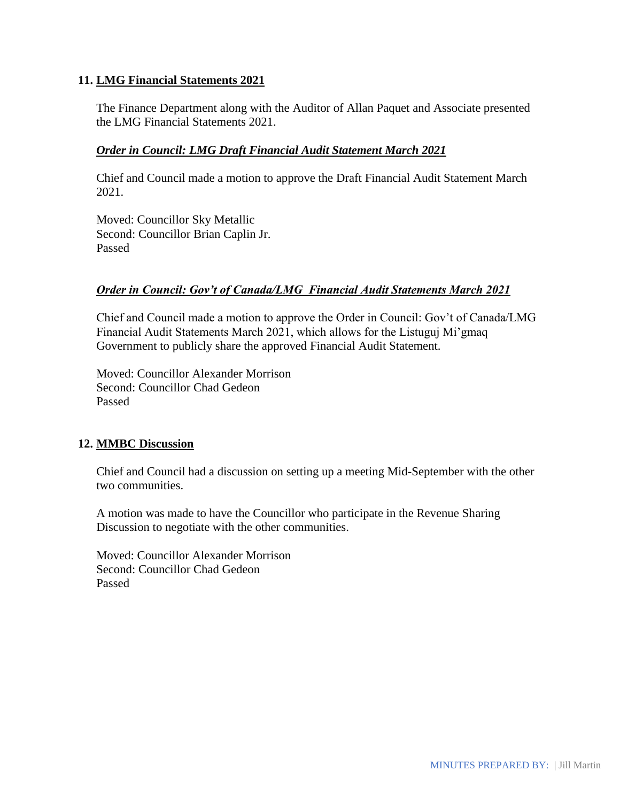## **11. LMG Financial Statements 2021**

The Finance Department along with the Auditor of Allan Paquet and Associate presented the LMG Financial Statements 2021.

### *Order in Council: LMG Draft Financial Audit Statement March 2021*

Chief and Council made a motion to approve the Draft Financial Audit Statement March 2021.

Moved: Councillor Sky Metallic Second: Councillor Brian Caplin Jr. Passed

## *Order in Council: Gov't of Canada/LMG Financial Audit Statements March 2021*

Chief and Council made a motion to approve the Order in Council: Gov't of Canada/LMG Financial Audit Statements March 2021, which allows for the Listuguj Mi'gmaq Government to publicly share the approved Financial Audit Statement.

Moved: Councillor Alexander Morrison Second: Councillor Chad Gedeon Passed

# **12. MMBC Discussion**

Chief and Council had a discussion on setting up a meeting Mid-September with the other two communities.

A motion was made to have the Councillor who participate in the Revenue Sharing Discussion to negotiate with the other communities.

Moved: Councillor Alexander Morrison Second: Councillor Chad Gedeon Passed